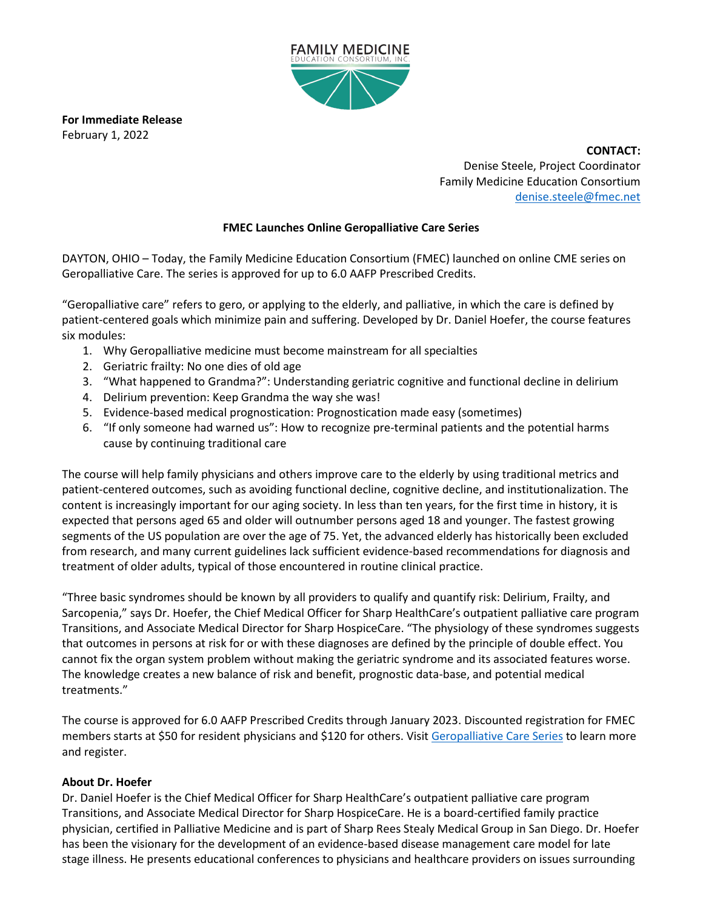

**For Immediate Release** February 1, 2022

> **CONTACT:** Denise Steele, Project Coordinator Family Medicine Education Consortium [denise.steele@fmec.net](mailto:denise.steele@fmec.net)

## **FMEC Launches Online Geropalliative Care Series**

DAYTON, OHIO – Today, the Family Medicine Education Consortium (FMEC) launched on online CME series on Geropalliative Care. The series is approved for up to 6.0 AAFP Prescribed Credits.

"Geropalliative care" refers to gero, or applying to the elderly, and palliative, in which the care is defined by patient-centered goals which minimize pain and suffering. Developed by Dr. Daniel Hoefer, the course features six modules:

- 1. Why Geropalliative medicine must become mainstream for all specialties
- 2. Geriatric frailty: No one dies of old age
- 3. "What happened to Grandma?": Understanding geriatric cognitive and functional decline in delirium
- 4. Delirium prevention: Keep Grandma the way she was!
- 5. Evidence-based medical prognostication: Prognostication made easy (sometimes)
- 6. "If only someone had warned us": How to recognize pre-terminal patients and the potential harms cause by continuing traditional care

The course will help family physicians and others improve care to the elderly by using traditional metrics and patient-centered outcomes, such as avoiding functional decline, cognitive decline, and institutionalization. The content is increasingly important for our aging society. In less than ten years, for the first time in history, it is expected that persons aged 65 and older will outnumber persons aged 18 and younger. The fastest growing segments of the US population are over the age of 75. Yet, the advanced elderly has historically been excluded from research, and many current guidelines lack sufficient evidence-based recommendations for diagnosis and treatment of older adults, typical of those encountered in routine clinical practice.

"Three basic syndromes should be known by all providers to qualify and quantify risk: Delirium, Frailty, and Sarcopenia," says Dr. Hoefer, the Chief Medical Officer for Sharp HealthCare's outpatient palliative care program Transitions, and Associate Medical Director for Sharp HospiceCare. "The physiology of these syndromes suggests that outcomes in persons at risk for or with these diagnoses are defined by the principle of double effect. You cannot fix the organ system problem without making the geriatric syndrome and its associated features worse. The knowledge creates a new balance of risk and benefit, prognostic data-base, and potential medical treatments."

The course is approved for 6.0 AAFP Prescribed Credits through January 2023. Discounted registration for FMEC members starts at \$50 for resident physicians and \$120 for others. Visit [Geropalliative Care Series](https://fmec.mclms.net/en/package/list) to learn more and register.

## **About Dr. Hoefer**

Dr. Daniel Hoefer is the Chief Medical Officer for Sharp HealthCare's outpatient palliative care program Transitions, and Associate Medical Director for Sharp HospiceCare. He is a board-certified family practice physician, certified in Palliative Medicine and is part of Sharp Rees Stealy Medical Group in San Diego. Dr. Hoefer has been the visionary for the development of an evidence-based disease management care model for late stage illness. He presents educational conferences to physicians and healthcare providers on issues surrounding